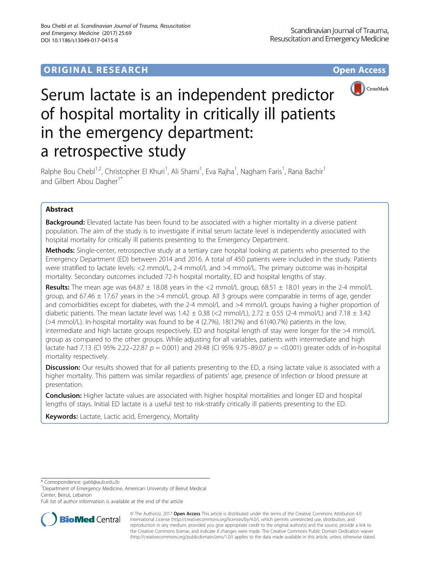# **ORIGINAL RESEARCH CONSUMING ACCESS**



# Serum lactate is an independent predictor of hospital mortality in critically ill patients in the emergency department: a retrospective study

Ralphe Bou Chebl<sup>1,2</sup>, Christopher El Khuri<sup>1</sup>, Ali Shami<sup>1</sup>, Eva Rajha<sup>1</sup>, Nagham Faris<sup>1</sup>, Rana Bachir<sup>1</sup> and Gilbert Abou Dagher<sup>1\*</sup>

# Abstract

**Background:** Elevated lactate has been found to be associated with a higher mortality in a diverse patient population. The aim of the study is to investigate if initial serum lactate level is independently associated with hospital mortality for critically ill patients presenting to the Emergency Department.

Methods: Single-center, retrospective study at a tertiary care hospital looking at patients who presented to the Emergency Department (ED) between 2014 and 2016. A total of 450 patients were included in the study. Patients were stratified to lactate levels: <2 mmol/L, 2-4 mmol/L and >4 mmol/L. The primary outcome was in-hospital mortality. Secondary outcomes included 72-h hospital mortality, ED and hospital lengths of stay.

**Results:** The mean age was  $64.87 \pm 18.08$  years in the <2 mmol/L group,  $68.51 \pm 18.01$  years in the 2-4 mmol/L group, and 67.46  $\pm$  17.67 years in the >4 mmol/L group. All 3 groups were comparable in terms of age, gender and comorbidities except for diabetes, with the 2-4 mmol/L and >4 mmol/L groups having a higher proportion of diabetic patients. The mean lactate level was  $1.42 \pm 0.38$  (<2 mmol/L),  $2.72 \pm 0.55$  (2-4 mmol/L) and  $7.18 \pm 3.42$ (>4 mmol/L). In-hospital mortality was found to be 4 (2.7%), 18(12%) and 61(40.7%) patients in the low, intermediate and high lactate groups respectively. ED and hospital length of stay were longer for the >4 mmol/L group as compared to the other groups. While adjusting for all variables, patients with intermediate and high lactate had 7.13 (CI 95% 2.22–22.87  $p = 0.001$ ) and 29.48 (CI 95% 9.75–89.07  $p = 0.001$ ) greater odds of in-hospital mortality respectively.

**Discussion:** Our results showed that for all patients presenting to the ED, a rising lactate value is associated with a higher mortality. This pattern was similar regardless of patients' age, presence of infection or blood pressure at presentation.

**Conclusion:** Higher lactate values are associated with higher hospital mortalities and longer ED and hospital lengths of stays. Initial ED lactate is a useful test to risk-stratify critically ill patients presenting to the ED.

Keywords: Lactate, Lactic acid, Emergency, Mortality

\* Correspondence: [ga66@aub.edu.lb](mailto:ga66@aub.edu.lb) <sup>1</sup>

<sup>1</sup>Department of Emergency Medicine, American University of Beirut Medical Center, Beirut, Lebanon

Full list of author information is available at the end of the article



© The Author(s). 2017 **Open Access** This article is distributed under the terms of the Creative Commons Attribution 4.0 International License [\(http://creativecommons.org/licenses/by/4.0/](http://creativecommons.org/licenses/by/4.0/)), which permits unrestricted use, distribution, and reproduction in any medium, provided you give appropriate credit to the original author(s) and the source, provide a link to the Creative Commons license, and indicate if changes were made. The Creative Commons Public Domain Dedication waiver [\(http://creativecommons.org/publicdomain/zero/1.0/](http://creativecommons.org/publicdomain/zero/1.0/)) applies to the data made available in this article, unless otherwise stated.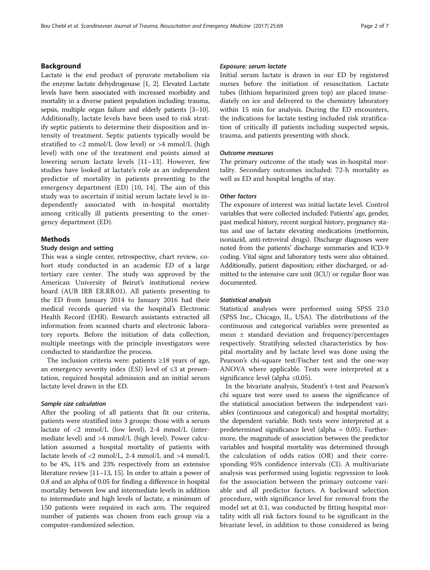# Background

Lactate is the end product of pyruvate metabolism via the enzyme lactate dehydrogenase [\[1, 2](#page-6-0)]. Elevated Lactate levels have been associated with increased morbidity and mortality in a diverse patient population including: trauma, sepsis, multiple organ failure and elderly patients [\[3](#page-6-0)–[10](#page-6-0)]. Additionally, lactate levels have been used to risk stratify septic patients to determine their disposition and intensity of treatment. Septic patients typically would be stratified to <2 mmol/L (low level) or >4 mmol/L (high level) with one of the treatment end points aimed at lowering serum lactate levels [[11](#page-6-0)–[13\]](#page-6-0). However, few studies have looked at lactate's role as an independent predictor of mortality in patients presenting to the emergency department (ED) [[10, 14](#page-6-0)]. The aim of this study was to ascertain if initial serum lactate level is independently associated with in-hospital mortality among critically ill patients presenting to the emergency department (ED).

# Methods

# Study design and setting

This was a single center, retrospective, chart review, cohort study conducted in an academic ED of a large tertiary care center. The study was approved by the American University of Beirut's institutional review board (AUB IRB ER.RB.01). All patients presenting to the ED from January 2014 to January 2016 had their medical records queried via the hospital's Electronic Health Record (EHR). Research assistants extracted all information from scanned charts and electronic laboratory reports. Before the initiation of data collection, multiple meetings with the principle investigators were conducted to standardize the process.

The inclusion criteria were: patients  $\geq 18$  years of age, an emergency severity index (ESI) level of ≤3 at presentation, required hospital admission and an initial serum lactate level drawn in the ED.

#### Sample size calculation

After the pooling of all patients that fit our criteria, patients were stratified into 3 groups: those with a serum lactate of <2 mmol/L (low level), 2-4 mmol/L (intermediate level) and >4 mmol/L (high level). Power calculation assumed a hospital mortality of patients with lactate levels of <2 mmol/L, 2-4 mmol/L and >4 mmol/L to be 4%, 11% and 23% respectively from an extensive literature review [[11](#page-6-0)–[13, 15\]](#page-6-0). In order to attain a power of 0.8 and an alpha of 0.05 for finding a difference in hospital mortality between low and intermediate levels in addition to intermediate and high levels of lactate, a minimum of 150 patients were required in each arm. The required number of patients was chosen from each group via a computer-randomized selection.

# Exposure: serum lactate

Initial serum lactate is drawn in our ED by registered nurses before the initiation of resuscitation. Lactate tubes (lithium heparinized green top) are placed immediately on ice and delivered to the chemistry laboratory within 15 min for analysis. During the ED encounters, the indications for lactate testing included risk stratification of critically ill patients including suspected sepsis, trauma, and patients presenting with shock.

# Outcome measures

The primary outcome of the study was in-hospital mortality. Secondary outcomes included: 72-h mortality as well as ED and hospital lengths of stay.

# Other factors

The exposure of interest was initial lactate level. Control variables that were collected included: Patients' age, gender, past medical history, recent surgical history, pregnancy status and use of lactate elevating medications (metformin, isoniazid, anti-retroviral drugs). Discharge diagnoses were noted from the patients' discharge summaries and ICD-9 coding. Vital signs and laboratory tests were also obtained. Additionally, patient disposition; either discharged, or admitted to the intensive care unit (ICU) or regular floor was documented.

#### Statistical analysis

Statistical analyses were performed using SPSS 23.0 (SPSS Inc., Chicago, IL, USA). The distributions of the continuous and categorical variables were presented as mean ± standard deviation and frequency/percentages respectively. Stratifying selected characteristics by hospital mortality and by lactate level was done using the Pearson's chi-square test/Fischer test and the one-way ANOVA where applicable. Tests were interpreted at a significance level (alpha ≤0.05).

In the bivariate analysis, Student's t-test and Pearson's chi square test were used to assess the significance of the statistical association between the independent variables (continuous and categorical) and hospital mortality; the dependent variable. Both tests were interpreted at a predetermined significance level (alpha = 0.05). Furthermore, the magnitude of association between the predictor variables and hospital mortality was determined through the calculation of odds ratios (OR) and their corresponding 95% confidence intervals (CI). A multivariate analysis was performed using logistic regression to look for the association between the primary outcome variable and all predictor factors. A backward selection procedure, with significance level for removal from the model set at 0.1, was conducted by fitting hospital mortality with all risk factors found to be significant in the bivariate level, in addition to those considered as being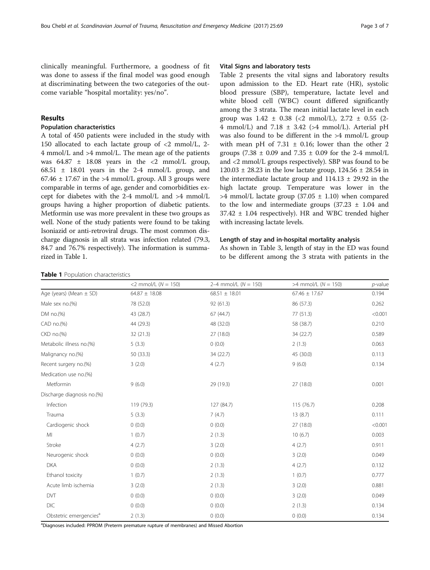<span id="page-2-0"></span>clinically meaningful. Furthermore, a goodness of fit was done to assess if the final model was good enough at discriminating between the two categories of the outcome variable "hospital mortality: yes/no".

# Results

#### Population characteristics

A total of 450 patients were included in the study with 150 allocated to each lactate group of <2 mmol/L, 2- 4 mmol/L and >4 mmol/L. The mean age of the patients was  $64.87 \pm 18.08$  years in the <2 mmol/L group, 68.51  $\pm$  18.01 years in the 2-4 mmol/L group, and  $67.46 \pm 17.67$  in the >4 mmol/L group. All 3 groups were comparable in terms of age, gender and comorbidities except for diabetes with the 2-4 mmol/L and >4 mmol/L groups having a higher proportion of diabetic patients. Metformin use was more prevalent in these two groups as well. None of the study patients were found to be taking Isoniazid or anti-retroviral drugs. The most common discharge diagnosis in all strata was infection related (79.3, 84.7 and 76.7% respectively). The information is summarized in Table 1.

# Vital Signs and laboratory tests

Table [2](#page-3-0) presents the vital signs and laboratory results upon admission to the ED. Heart rate (HR), systolic blood pressure (SBP), temperature, lactate level and white blood cell (WBC) count differed significantly among the 3 strata. The mean initial lactate level in each group was  $1.42 \pm 0.38$  (<2 mmol/L),  $2.72 \pm 0.55$  (2-4 mmol/L) and 7.18  $\pm$  3.42 (>4 mmol/L). Arterial pH was also found to be different in the >4 mmol/L group with mean pH of  $7.31 \pm 0.16$ ; lower than the other 2 groups (7.38  $\pm$  0.09 and 7.35  $\pm$  0.09 for the 2-4 mmol/L and <2 mmol/L groups respectively). SBP was found to be  $120.03 \pm 28.23$  in the low lactate group,  $124.56 \pm 28.54$  in the intermediate lactate group and  $114.13 \pm 29.92$  in the high lactate group. Temperature was lower in the  $>4$  mmol/L lactate group (37.05  $\pm$  1.10) when compared to the low and intermediate groups  $(37.23 \pm 1.04)$  and 37.42 ± 1.04 respectively). HR and WBC trended higher with increasing lactate levels.

# Length of stay and in-hospital mortality analysis

As shown in Table [3,](#page-3-0) length of stay in the ED was found to be different among the 3 strata with patients in the

#### Table 1 Population characteristics

|                                    | <2 mmol/L $(N = 150)$ | 2-4 mmol/L $(N = 150)$ | $>4$ mmol/L ( $N = 150$ ) | $p$ -value |
|------------------------------------|-----------------------|------------------------|---------------------------|------------|
| Age (years) (Mean $\pm$ SD)        | $64.87 \pm 18.08$     | $68.51 \pm 18.01$      | $67.46 \pm 17.67$         | 0.194      |
| Male sex no.(%)                    | 78 (52.0)             | 92(61.3)               | 86 (57.3)                 | 0.262      |
| DM no.(%)                          | 43 (28.7)             | 67(44.7)               | 77 (51.3)                 | < 0.001    |
| CAD no.(%)                         | 44 (29.3)             | 48 (32.0)              | 58 (38.7)                 | 0.210      |
| CKD no.(%)                         | 32(21.3)              | 27 (18.0)              | 34 (22.7)                 | 0.589      |
| Metabolic illness no.(%)           | 5(3.3)                | 0(0.0)                 | 2(1.3)                    | 0.063      |
| Malignancy no.(%)                  | 50 (33.3)             | 34 (22.7)              | 45 (30.0)                 | 0.113      |
| Recent surgery no.(%)              | 3(2.0)                | 4(2.7)                 | 9(6.0)                    | 0.134      |
| Medication use no.(%)              |                       |                        |                           |            |
| Metformin                          | 9(6.0)                | 29 (19.3)              | 27 (18.0)                 | 0.001      |
| Discharge diagnosis no.(%)         |                       |                        |                           |            |
| Infection                          | 119 (79.3)            | 127 (84.7)             | 115 (76.7)                | 0.208      |
| Trauma                             | 5(3.3)                | 7(4.7)                 | 13(8.7)                   | 0.111      |
| Cardiogenic shock                  | 0(0.0)                | 0(0.0)                 | 27 (18.0)                 | < 0.001    |
| MI                                 | 1(0.7)                | 2(1.3)                 | 10(6.7)                   | 0.003      |
| Stroke                             | 4(2.7)                | 3(2.0)                 | 4(2.7)                    | 0.911      |
| Neurogenic shock                   | 0(0.0)                | 0(0.0)                 | 3(2.0)                    | 0.049      |
| <b>DKA</b>                         | 0(0.0)                | 2(1.3)                 | 4(2.7)                    | 0.132      |
| Ethanol toxicity                   | 1(0.7)                | 2(1.3)                 | 1(0.7)                    | 0.777      |
| Acute limb ischemia                | 3(2.0)                | 2(1.3)                 | 3(2.0)                    | 0.881      |
| <b>DVT</b>                         | 0(0.0)                | 0(0.0)                 | 3(2.0)                    | 0.049      |
| <b>DIC</b>                         | 0(0.0)                | 0(0.0)                 | 2(1.3)                    | 0.134      |
| Obstetric emergencies <sup>a</sup> | 2(1.3)                | 0(0.0)                 | 0(0.0)                    | 0.134      |

<sup>a</sup>Diagnoses included: PPROM (Preterm premature rupture of membranes) and Missed Abortion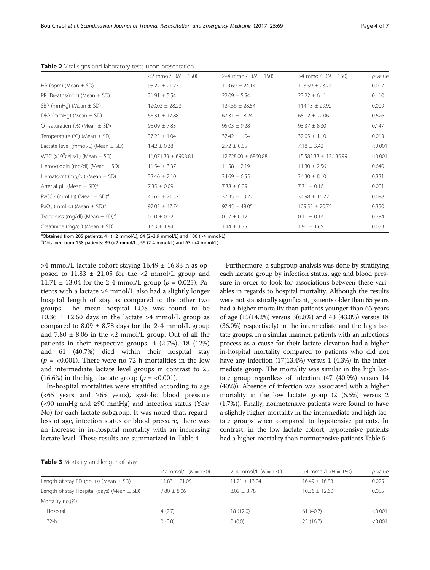|                                                                           | $<$ 2 mmol/L ( $N = 150$ ) | 2–4 mmol/L $(N = 150)$ | $>4$ mmol/L ( $N = 150$ ) | p-value |
|---------------------------------------------------------------------------|----------------------------|------------------------|---------------------------|---------|
| HR (bpm) (Mean $\pm$ SD)                                                  | $95.22 \pm 21.27$          | $100.69 \pm 24.14$     | $103.59 \pm 23.74$        | 0.007   |
| RR (Breaths/min) (Mean $\pm$ SD)                                          | $21.91 \pm 5.54$           | $22.09 \pm 5.54$       | $23.22 \pm 6.11$          | 0.110   |
| SBP (mmHg) (Mean $\pm$ SD)                                                | $120.03 \pm 28.23$         | $124.56 \pm 28.54$     | $114.13 \pm 29.92$        | 0.009   |
| DBP (mmHg) (Mean $\pm$ SD)                                                | $66.31 \pm 17.88$          | $67.31 \pm 18.24$      | $65.12 \pm 22.06$         | 0.626   |
| $O2$ saturation (%) (Mean $\pm$ SD)                                       | $95.09 \pm 7.83$           | $95.03 \pm 9.28$       | $93.37 \pm 8.30$          | 0.147   |
| Temperature ( $^{\circ}$ C) (Mean $\pm$ SD)                               | $37.23 \pm 1.04$           | $37.42 \pm 1.04$       | $37.05 \pm 1.10$          | 0.013   |
| Lactate level (mmol/L) (Mean $\pm$ SD)                                    | $1.42 \pm 0.38$            | $2.72 \pm 0.55$        | $7.18 \pm 3.42$           | < 0.001 |
| WBC ( $x10^9$ cells/L) (Mean $\pm$ SD)                                    | $11,071.33 \pm 6908.81$    | 12,728.00 ± 6860.88    | $15,583.33 \pm 12,135.99$ | < 0.001 |
| Hemoglobin (mg/dl) (Mean $\pm$ SD)                                        | $11.54 \pm 3.37$           | $11.58 \pm 2.19$       | $11.30 \pm 2.56$          | 0.640   |
| Hematocrit (mg/dl) (Mean $\pm$ SD)                                        | $33.46 \pm 7.10$           | $34.69 \pm 6.55$       | $34.30 \pm 8.10$          | 0.331   |
| Arterial pH (Mean $\pm$ SD) <sup>a</sup>                                  | $7.35 \pm 0.09$            | $7.38 \pm 0.09$        | $7.31 \pm 0.16$           | 0.001   |
| PaCO <sub>2</sub> (mmHg) (Mean $\pm$ SD) <sup>a</sup>                     | $41.63 \pm 21.57$          | $37.35 \pm 13.22$      | $34.98 \pm 16.22$         | 0.098   |
| PaO <sub>2</sub> (mmHg) (Mean $\pm$ SD) <sup>a</sup>                      | $97.03 \pm 47.74$          | $97.45 \pm 48.05$      | $109.53 \pm 70.75$        | 0.350   |
| Troponins (mg/dl) (Mean $\pm$ SD) <sup>b</sup>                            | $0.10 \pm 0.22$            | $0.07 \pm 0.12$        | $0.11 \pm 0.13$           | 0.254   |
| Creatinine (mg/dl) (Mean $\pm$ SD)                                        | $1.63 \pm 1.94$            | $1.44 \pm 1.35$        | $1.90 \pm 1.65$           | 0.053   |
| $301.11.1$ $1.01.1$ $1.07.11.11.1$ $1.01.10.11.11.1$ $1.01.01.10.11.11.1$ |                            |                        |                           |         |

<span id="page-3-0"></span>Table 2 Vital signs and laboratory tests upon presentation

<sup>a</sup>Obtained from 205 patients: 41 (<2 mmol/L), 64 (2-3.9 mmol/L) and 100 (>4 mmol/L)<br><sup>b</sup>Obtained from 158 patients: 39 (<2 mmol/L), 56 (2-4 mmol/L) and 63 (>4 mmol/L)

 $^{b}$ Obtained from 158 patients: 39 (<2 mmol/L), 56 (2-4 mmol/L) and 63 (>4 mmol/L)

 $>4$  mmol/L lactate cohort staying  $16.49 \pm 16.83$  h as opposed to  $11.83 \pm 21.05$  for the <2 mmol/L group and  $11.71 \pm 13.04$  for the 2-4 mmol/L group ( $p = 0.025$ ). Patients with a lactate >4 mmol/L also had a slightly longer hospital length of stay as compared to the other two groups. The mean hospital LOS was found to be  $10.36 \pm 12.60$  days in the lactate >4 mmol/L group as compared to  $8.09 \pm 8.78$  days for the 2-4 mmol/L group and  $7.80 \pm 8.06$  in the <2 mmol/L group. Out of all the patients in their respective groups, 4 (2.7%), 18 (12%) and 61 (40.7%) died within their hospital stay ( $p = 0.001$ ). There were no 72-h mortalities in the low and intermediate lactate level groups in contrast to 25 (16.6%) in the high lactate group ( $p = <0.001$ ).

In-hospital mortalities were stratified according to age  $\left( < 65 \text{ years} \right)$  and  $\ge 65 \text{ years}$ ), systolic blood pressure (<90 mmHg and ≥90 mmHg) and infection status (Yes/ No) for each lactate subgroup. It was noted that, regardless of age, infection status or blood pressure, there was an increase in in-hospital mortality with an increasing lactate level. These results are summarized in Table [4.](#page-4-0)

Furthermore, a subgroup analysis was done by stratifying each lactate group by infection status, age and blood pressure in order to look for associations between these variables in regards to hospital mortality. Although the results were not statistically significant, patients older than 65 years had a higher mortality than patients younger than 65 years of age (15(14.2%) versus 3(6.8%) and 43 (43.0%) versus 18 (36.0%) respectively) in the intermediate and the high lactate groups. In a similar manner, patients with an infectious process as a cause for their lactate elevation had a higher in-hospital mortality compared to patients who did not have any infection (17(13.4%) versus 1 (4.3%) in the intermediate group. The mortality was similar in the high lactate group regardless of infection (47 (40.9%) versus 14 (40%)). Absence of infection was associated with a higher mortality in the low lactate group (2 (6.5%) versus 2 (1.7%)). Finally, normotensive patients were found to have a slightly higher mortality in the intermediate and high lactate groups when compared to hypotensive patients. In contrast, in the low lactate cohort, hypotensive patients had a higher mortality than normotensive patients Table [5](#page-4-0).

|  |  | Table 3 Mortality and length of stay |  |
|--|--|--------------------------------------|--|
|--|--|--------------------------------------|--|

| <b>I WINTED</b> INTO TEXTLY CITED TELLOIDED SECUY |                            |                        |                           |            |  |
|---------------------------------------------------|----------------------------|------------------------|---------------------------|------------|--|
|                                                   | $<$ 2 mmol/L ( $N = 150$ ) | 2–4 mmol/L $(N = 150)$ | $>4$ mmol/L ( $N = 150$ ) | $p$ -value |  |
| Length of stay ED (hours) (Mean $\pm$ SD)         | $11.83 + 21.05$            | $11.71 \pm 13.04$      | $16.49 + 16.83$           | 0.025      |  |
| Length of stay Hospital (days) (Mean $\pm$ SD)    | $7.80 \pm 8.06$            | $8.09 + 8.78$          | $10.36 \pm 12.60$         | 0.055      |  |
| Mortality no.(%)                                  |                            |                        |                           |            |  |
| Hospital                                          | 4(2.7)                     | 18 (12.0)              | 61(40.7)                  | < 0.001    |  |
| 72-h                                              | (0.0)                      | 0(0.0)                 | 25 (16.7)                 | < 0.001    |  |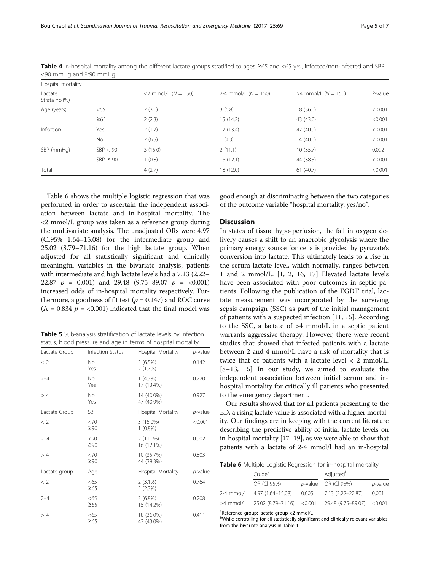| Hospital mortality       |               |                       |                        |                           |            |
|--------------------------|---------------|-----------------------|------------------------|---------------------------|------------|
| Lactate<br>Strata no.(%) |               | <2 mmol/L $(N = 150)$ | 2-4 mmol/L $(N = 150)$ | $>4$ mmol/L ( $N = 150$ ) | $P$ -value |
| Age (years)              | <65           | 2(3.1)                | 3(6.8)                 | 18 (36.0)                 | < 0.001    |
|                          | $\geq 65$     | 2(2.3)                | 15(14.2)               | 43 (43.0)                 | < 0.001    |
| Infection                | Yes           | 2(1.7)                | 17(13.4)               | 47 (40.9)                 | < 0.001    |
|                          | <b>No</b>     | 2(6.5)                | 1(4.3)                 | 14(40.0)                  | < 0.001    |
| SBP (mmHg)               | SBP < 90      | 3(15.0)               | 2(11.1)                | 10(35.7)                  | 0.092      |
|                          | $SBP \geq 90$ | (0.8)                 | 16(12.1)               | 44 (38.3)                 | < 0.001    |
| Total                    |               | 4(2.7)                | 18 (12.0)              | 61(40.7)                  | < 0.001    |

<span id="page-4-0"></span>Table 4 In-hospital mortality among the different lactate groups stratified to ages ≥65 and <65 yrs., infected/non-Infected and SBP <90 mmHg and ≥90 mmHg

Table 6 shows the multiple logistic regression that was performed in order to ascertain the independent association between lactate and in-hospital mortality. The <2 mmol/L group was taken as a reference group during the multivariate analysis. The unadjusted ORs were 4.97 (CI95% 1.64–15.08) for the intermediate group and 25.02 (8.79–71.16) for the high lactate group. When adjusted for all statistically significant and clinically meaningful variables in the bivariate analysis, patients with intermediate and high lactate levels had a 7.13 (2.22– 22.87  $p = 0.001$  and 29.48  $(9.75-89.07 \quad p = <0.001)$ increased odds of in-hospital mortality respectively. Furthermore, a goodness of fit test ( $p = 0.147$ ) and ROC curve  $(A = 0.834 \, p = <0.001)$  indicated that the final model was

Table 5 Sub-analysis stratification of lactate levels by infection status, blood pressure and age in terms of hospital mortality

| Lactate Group | Infection Status | Hospital Mortality        | $p$ -value |
|---------------|------------------|---------------------------|------------|
| < 2           | No.<br>Yes       | 2(6.5%)<br>2(1.7%)        | 0.142      |
| $2 - 4$       | No<br>Yes        | $1(4.3\%)$<br>17 (13.4%)  | 0.220      |
| >4            | No.<br>Yes       | 14 (40.0%)<br>47 (40.9%)  | 0.927      |
| Lactate Group | SBP              | Hospital Mortality        | $p$ -value |
| < 2           | <90<br>$\geq 90$ | 3 (15.0%)<br>$1(0.8\%)$   | < 0.001    |
| $2 - 4$       | <90<br>$\geq 90$ | $2(11.1\%)$<br>16 (12.1%) | 0.902      |
| >4            | <90<br>$\geq 90$ | 10 (35.7%)<br>44 (38.3%)  | 0.803      |
| Lactate group | Age              | Hospital Mortality        | $p$ -value |
| < 2           | <65<br>$\geq 65$ | $2(3.1\%)$<br>2(2.3%)     | 0.764      |
| $2 - 4$       | <65<br>$\geq 65$ | $3(6.8\%)$<br>15 (14.2%)  | 0.208      |
| >4            | <65<br>$\geq 65$ | 18 (36.0%)<br>43 (43.0%)  | 0.411      |

good enough at discriminating between the two categories of the outcome variable "hospital mortality: yes/no".

#### **Discussion**

In states of tissue hypo-perfusion, the fall in oxygen delivery causes a shift to an anaerobic glycolysis where the primary energy source for cells is provided by pyruvate's conversion into lactate. This ultimately leads to a rise in the serum lactate level, which normally, ranges between 1 and 2 mmol/L. [\[1](#page-6-0), [2](#page-6-0), [16, 17\]](#page-6-0) Elevated lactate levels have been associated with poor outcomes in septic patients. Following the publication of the EGDT trial, lactate measurement was incorporated by the surviving sepsis campaign (SSC) as part of the initial management of patients with a suspected infection [\[11](#page-6-0), [15](#page-6-0)]. According to the SSC, a lactate of >4 mmol/L in a septic patient warrants aggressive therapy. However, there were recent studies that showed that infected patients with a lactate between 2 and 4 mmol/L have a risk of mortality that is twice that of patients with a lactate level  $\langle 2 \text{ mmol/L.} \rangle$ [[8](#page-6-0)–[13, 15\]](#page-6-0) In our study, we aimed to evaluate the independent association between initial serum and inhospital mortality for critically ill patients who presented to the emergency department.

Our results showed that for all patients presenting to the ED, a rising lactate value is associated with a higher mortality. Our findings are in keeping with the current literature describing the predictive ability of initial lactate levels on in-hospital mortality [\[17](#page-6-0)–[19](#page-6-0)], as we were able to show that patients with a lactate of 2-4 mmol/l had an in-hospital

Table 6 Multiple Logistic Regression for in-hospital mortality

| Crude <sup>a</sup>                                   |  | Adjusted <sup>b</sup>                                           |            |
|------------------------------------------------------|--|-----------------------------------------------------------------|------------|
| OR (CI 95%)                                          |  | $p$ -value OR (CI 95%)                                          | $p$ -value |
| 2-4 mmol/L 4.97 (1.64–15.08) 0.005 7.13 (2.22–22.87) |  |                                                                 | 0.001      |
|                                                      |  | >4 mmol/L 25.02 (8.79–71.16) < 0.001 29.48 (9.75–89.07) < 0.001 |            |

a Reference group: lactate group <2 mmol/L

**b**While controlling for all statistically significant and clinically relevant variables from the bivariate analysis in Table [1](#page-2-0)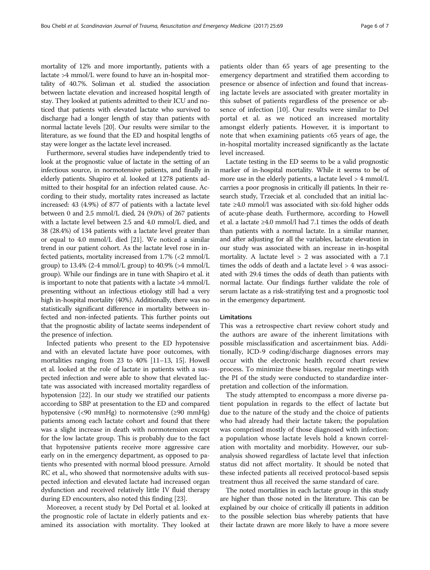mortality of 12% and more importantly, patients with a lactate >4 mmol/L were found to have an in-hospital mortality of 40.7%. Soliman et al. studied the association between lactate elevation and increased hospital length of stay. They looked at patients admitted to their ICU and noticed that patients with elevated lactate who survived to discharge had a longer length of stay than patients with normal lactate levels [\[20\]](#page-6-0). Our results were similar to the literature, as we found that the ED and hospital lengths of stay were longer as the lactate level increased.

Furthermore, several studies have independently tried to look at the prognostic value of lactate in the setting of an infectious source, in normotensive patients, and finally in elderly patients. Shapiro et al. looked at 1278 patients admitted to their hospital for an infection related cause. According to their study, mortality rates increased as lactate increased: 43 (4.9%) of 877 of patients with a lactate level between 0 and 2.5 mmol/L died, 24 (9.0%) of 267 patients with a lactate level between 2.5 and 4.0 mmol/L died, and 38 (28.4%) of 134 patients with a lactate level greater than or equal to 4.0 mmol/L died [\[21\]](#page-6-0). We noticed a similar trend in our patient cohort. As the lactate level rose in infected patients, mortality increased from 1.7% (<2 mmol/L group) to  $13.4\%$  (2-4 mmol/L group) to  $40.9\%$  (>4 mmol/L group). While our findings are in tune with Shapiro et al. it is important to note that patients with a lactate >4 mmol/L presenting without an infectious etiology still had a very high in-hospital mortality (40%). Additionally, there was no statistically significant difference in mortality between infected and non-infected patients. This further points out that the prognostic ability of lactate seems independent of the presence of infection.

Infected patients who present to the ED hypotensive and with an elevated lactate have poor outcomes, with mortalities ranging from 23 to 40% [[11](#page-6-0)–[13, 15\]](#page-6-0). Howell et al. looked at the role of lactate in patients with a suspected infection and were able to show that elevated lactate was associated with increased mortality regardless of hypotension [[22](#page-6-0)]. In our study we stratified our patients according to SBP at presentation to the ED and compared hypotensive (<90 mmHg) to normotensive (≥90 mmHg) patients among each lactate cohort and found that there was a slight increase in death with normotension except for the low lactate group. This is probably due to the fact that hypotensive patients receive more aggressive care early on in the emergency department, as opposed to patients who presented with normal blood pressure. Arnold RC et al., who showed that normotensive adults with suspected infection and elevated lactate had increased organ dysfunction and received relatively little IV fluid therapy during ED encounters, also noted this finding [[23](#page-6-0)].

Moreover, a recent study by Del Portal et al. looked at the prognostic role of lactate in elderly patients and examined its association with mortality. They looked at

patients older than 65 years of age presenting to the emergency department and stratified them according to presence or absence of infection and found that increasing lactate levels are associated with greater mortality in this subset of patients regardless of the presence or absence of infection [\[10](#page-6-0)]. Our results were similar to Del portal et al. as we noticed an increased mortality amongst elderly patients. However, it is important to note that when examining patients <65 years of age, the in-hospital mortality increased significantly as the lactate level increased.

Lactate testing in the ED seems to be a valid prognostic marker of in-hospital mortality. While it seems to be of more use in the elderly patients, a lactate level > 4 mmol/L carries a poor prognosis in critically ill patients. In their research study, Trzeciak et al. concluded that an initial lactate ≥4.0 mmol/l was associated with six-fold higher odds of acute-phase death. Furthermore, according to Howell et al. a lactate ≥4.0 mmol/l had 7.1 times the odds of death than patients with a normal lactate. In a similar manner, and after adjusting for all the variables, lactate elevation in our study was associated with an increase in in-hospital mortality. A lactate level > 2 was associated with a 7.1 times the odds of death and a lactate level > 4 was associated with 29.4 times the odds of death than patients with normal lactate. Our findings further validate the role of serum lactate as a risk-stratifying test and a prognostic tool in the emergency department.

#### Limitations

This was a retrospective chart review cohort study and the authors are aware of the inherent limitations with possible misclassification and ascertainment bias. Additionally, ICD-9 coding/discharge diagnoses errors may occur with the electronic health record chart review process. To minimize these biases, regular meetings with the PI of the study were conducted to standardize interpretation and collection of the information.

The study attempted to encompass a more diverse patient population in regards to the effect of lactate but due to the nature of the study and the choice of patients who had already had their lactate taken; the population was comprised mostly of those diagnosed with infection: a population whose lactate levels hold a known correlation with mortality and morbidity. However, our subanalysis showed regardless of lactate level that infection status did not affect mortality. It should be noted that these infected patients all received protocol-based sepsis treatment thus all received the same standard of care.

The noted mortalities in each lactate group in this study are higher than those noted in the literature. This can be explained by our choice of critically ill patients in addition to the possible selection bias whereby patients that have their lactate drawn are more likely to have a more severe